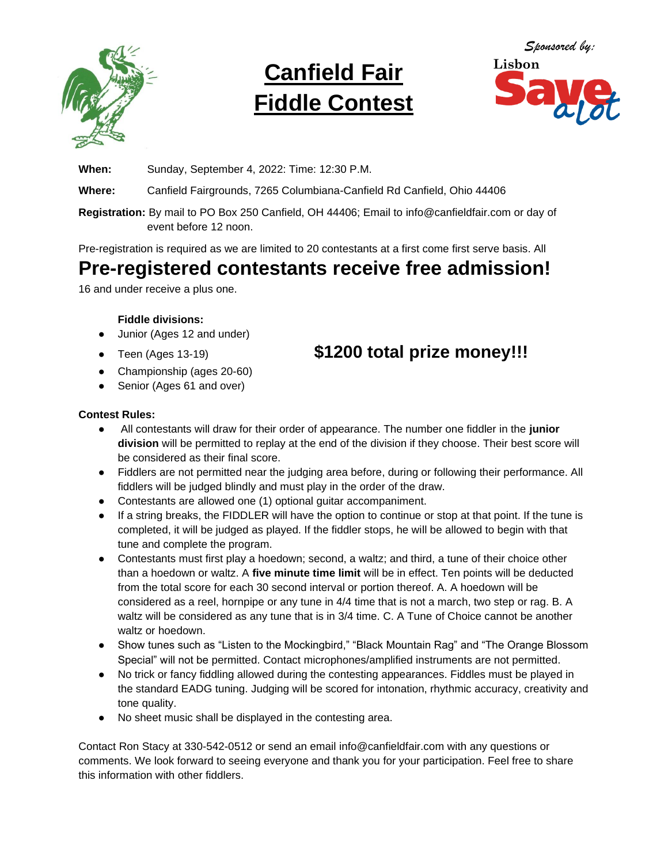

# **Canfield Fair Fiddle Contest**



**When:** Sunday, September 4, 2022: Time: 12:30 P.M.

**Where:** Canfield Fairgrounds, 7265 Columbiana-Canfield Rd Canfield, Ohio 44406

**Registration:** By mail to PO Box 250 Canfield, OH 44406; Email to info@canfieldfair.com or day of event before 12 noon.

Pre-registration is required as we are limited to 20 contestants at a first come first serve basis. All

### **Pre-registered contestants receive free admission!**

16 and under receive a plus one.

#### **Fiddle divisions:**

- Junior (Ages 12 and under)
- 
- Championship (ages 20-60)
- Senior (Ages 61 and over)

#### **Contest Rules:**

- All contestants will draw for their order of appearance. The number one fiddler in the **junior division** will be permitted to replay at the end of the division if they choose. Their best score will be considered as their final score.
- Fiddlers are not permitted near the judging area before, during or following their performance. All fiddlers will be judged blindly and must play in the order of the draw.
- Contestants are allowed one (1) optional guitar accompaniment.
- If a string breaks, the FIDDLER will have the option to continue or stop at that point. If the tune is completed, it will be judged as played. If the fiddler stops, he will be allowed to begin with that tune and complete the program.
- Contestants must first play a hoedown; second, a waltz; and third, a tune of their choice other than a hoedown or waltz. A **five minute time limit** will be in effect. Ten points will be deducted from the total score for each 30 second interval or portion thereof. A. A hoedown will be considered as a reel, hornpipe or any tune in 4/4 time that is not a march, two step or rag. B. A waltz will be considered as any tune that is in 3/4 time. C. A Tune of Choice cannot be another waltz or hoedown.
- Show tunes such as "Listen to the Mockingbird," "Black Mountain Rag" and "The Orange Blossom Special" will not be permitted. Contact microphones/amplified instruments are not permitted.
- No trick or fancy fiddling allowed during the contesting appearances. Fiddles must be played in the standard EADG tuning. Judging will be scored for intonation, rhythmic accuracy, creativity and tone quality.
- No sheet music shall be displayed in the contesting area.

Contact Ron Stacy at 330-542-0512 or send an email info@canfieldfair.com with any questions or comments. We look forward to seeing everyone and thank you for your participation. Feel free to share this information with other fiddlers.

## • Teen (Ages 13-19) **\$1200 total prize money!!!**